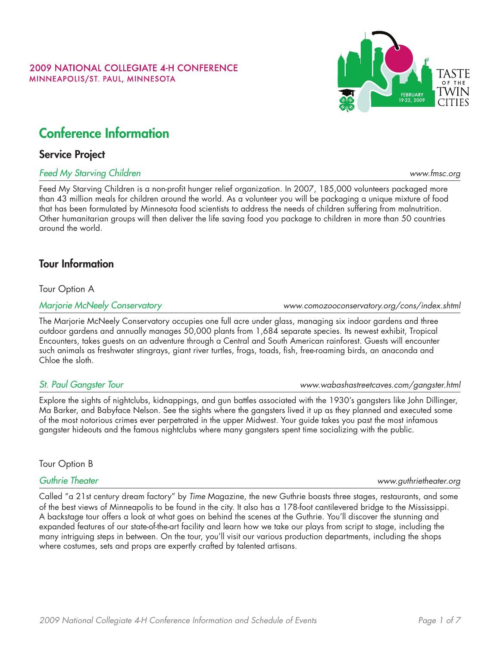### **2009 NATIONAL COLLEGIATE 4-H CONFERENCE** MINNEAPOLIS/ST. PAUL, MINNESOTA

# Conference Information

## Service Project

### *Feed My Starving Children [www.fmsc.org](http://www.fmsc.org)*

Feed My Starving Children is a non-profit hunger relief organization. In 2007, 185,000 volunteers packaged more than 43 million meals for children around the world. As a volunteer you will be packaging a unique mixture of food that has been formulated by Minnesota food scientists to address the needs of children suffering from malnutrition. Other humanitarian groups will then deliver the life saving food you package to children in more than 50 countries around the world.

## Tour Information

Tour Option A

*Marjorie McNeely Conservatory [www.comozooconservatory.org/cons/index.shtml](http://www.comozooconservatory.org/cons/index.shtml)*

The Marjorie McNeely Conservatory occupies one full acre under glass, managing six indoor gardens and three outdoor gardens and annually manages 50,000 plants from 1,684 separate species. Its newest exhibit, Tropical Encounters, takes guests on an adventure through a Central and South American rainforest. Guests will encounter such animals as freshwater stingrays, giant river turtles, frogs, toads, fish, free-roaming birds, an anaconda and Chloe the sloth.

## *St. Paul Gangster Tour [www.wabashastreetcaves.com/gangster.html](http://www.wabashastreetcaves.com/gangster.html)*

Explore the sights of nightclubs, kidnappings, and gun battles associated with the 1930's gangsters like John Dillinger, Ma Barker, and Babyface Nelson. See the sights where the gangsters lived it up as they planned and executed some of the most notorious crimes ever perpetrated in the upper Midwest. Your guide takes you past the most infamous gangster hideouts and the famous nightclubs where many gangsters spent time socializing with the public.

Tour Option B

## *Guthrie Theater [www.guthrietheater.org](http://www.guthrietheater.org)*

Called "a 21st century dream factory" by *Time* Magazine, the new Guthrie boasts three stages, restaurants, and some of the best views of Minneapolis to be found in the city. It also has a 178-foot cantilevered bridge to the Mississippi. A backstage tour offers a look at what goes on behind the scenes at the Guthrie. You'll discover the stunning and expanded features of our state-of-the-art facility and learn how we take our plays from script to stage, including the many intriguing steps in between. On the tour, you'll visit our various production departments, including the shops where costumes, sets and props are expertly crafted by talented artisans.

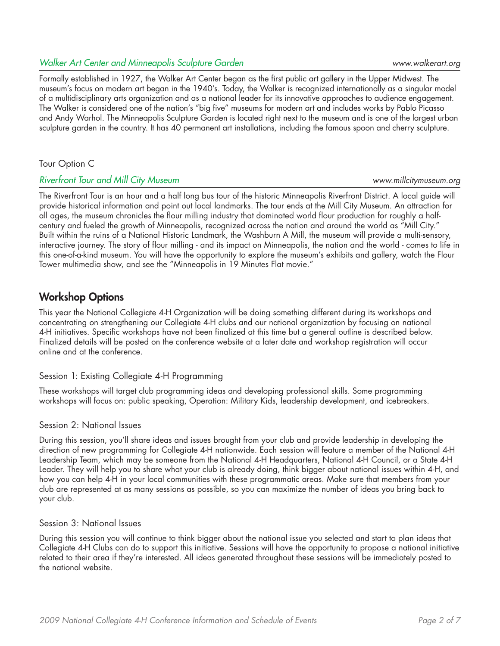### *Walker Art Center and Minneapolis Sculpture Garden [www.walkerart.org](http://www.walkerart.org )*

Formally established in 1927, the Walker Art Center began as the first public art gallery in the Upper Midwest. The museum's focus on modern art began in the 1940's. Today, the Walker is recognized internationally as a singular model of a multidisciplinary arts organization and as a national leader for its innovative approaches to audience engagement. The Walker is considered one of the nation's "big five" museums for modern art and includes works by Pablo Picasso and Andy Warhol. The Minneapolis Sculpture Garden is located right next to the museum and is one of the largest urban sculpture garden in the country. It has 40 permanent art installations, including the famous spoon and cherry sculpture.

### Tour Option C

### *Riverfront Tour and Mill City Museum [www.millcitymuseum.org](http://www.millcitymuseum.org)*

The Riverfront Tour is an hour and a half long bus tour of the historic Minneapolis Riverfront District. A local guide will provide historical information and point out local landmarks. The tour ends at the Mill City Museum. An attraction for all ages, the museum chronicles the flour milling industry that dominated world flour production for roughly a halfcentury and fueled the growth of Minneapolis, recognized across the nation and around the world as "Mill City." Built within the ruins of a National Historic Landmark, the Washburn A Mill, the museum will provide a multi-sensory, interactive journey. The story of flour milling - and its impact on Minneapolis, the nation and the world - comes to life in this one-of-a-kind museum. You will have the opportunity to explore the museum's exhibits and gallery, watch the Flour Tower multimedia show, and see the "Minneapolis in 19 Minutes Flat movie."

## Workshop Options

This year the National Collegiate 4-H Organization will be doing something different during its workshops and concentrating on strengthening our Collegiate 4-H clubs and our national organization by focusing on national 4-H initiatives. Specific workshops have not been finalized at this time but a general outline is described below. Finalized details will be posted on the conference website at a later date and workshop registration will occur online and at the conference.

### Session 1: Existing Collegiate 4-H Programming

These workshops will target club programming ideas and developing professional skills. Some programming workshops will focus on: public speaking, Operation: Military Kids, leadership development, and icebreakers.

## Session 2: National Issues

During this session, you'll share ideas and issues brought from your club and provide leadership in developing the direction of new programming for Collegiate 4-H nationwide. Each session will feature a member of the National 4-H Leadership Team, which may be someone from the National 4-H Headquarters, National 4-H Council, or a State 4-H Leader. They will help you to share what your club is already doing, think bigger about national issues within 4-H, and how you can help 4-H in your local communities with these programmatic areas. Make sure that members from your club are represented at as many sessions as possible, so you can maximize the number of ideas you bring back to your club.

### Session 3: National Issues

During this session you will continue to think bigger about the national issue you selected and start to plan ideas that Collegiate 4-H Clubs can do to support this initiative. Sessions will have the opportunity to propose a national initiative related to their area if they're interested. All ideas generated throughout these sessions will be immediately posted to the national website.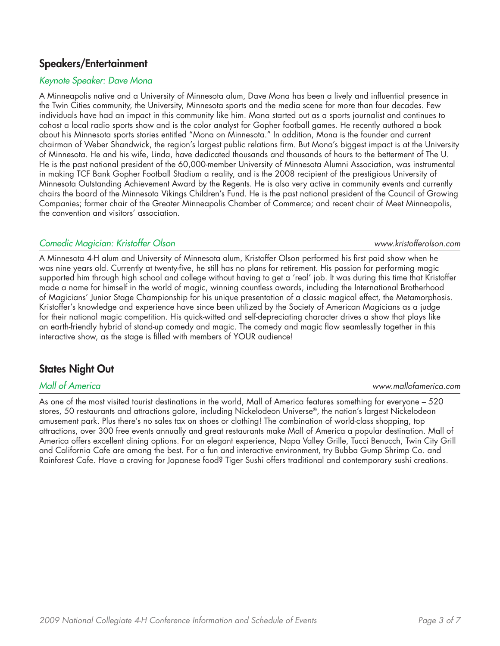## Speakers/Entertainment

### *Keynote Speaker: Dave Mona*

A Minneapolis native and a University of Minnesota alum, Dave Mona has been a lively and influential presence in the Twin Cities community, the University, Minnesota sports and the media scene for more than four decades. Few individuals have had an impact in this community like him. Mona started out as a sports journalist and continues to cohost a local radio sports show and is the color analyst for Gopher football games. He recently authored a book about his Minnesota sports stories entitled "Mona on Minnesota." In addition, Mona is the founder and current chairman of Weber Shandwick, the region's largest public relations firm. But Mona's biggest impact is at the University of Minnesota. He and his wife, Linda, have dedicated thousands and thousands of hours to the betterment of The U. He is the past national president of the 60,000-member University of Minnesota Alumni Association, was instrumental in making TCF Bank Gopher Football Stadium a reality, and is the 2008 recipient of the prestigious University of Minnesota Outstanding Achievement Award by the Regents. He is also very active in community events and currently chairs the board of the Minnesota Vikings Children's Fund. He is the past national president of the Council of Growing Companies; former chair of the Greater Minneapolis Chamber of Commerce; and recent chair of Meet Minneapolis, the convention and visitors' association.

### *Comedic Magician: Kristoffer Olson [www.kristofferolson.com](www.kristofferolson.com )*

A Minnesota 4-H alum and University of Minnesota alum, Kristoffer Olson performed his first paid show when he was nine years old. Currently at twenty-five, he still has no plans for retirement. His passion for performing magic supported him through high school and college without having to get a 'real' job. It was during this time that Kristoffer made a name for himself in the world of magic, winning countless awards, including the International Brotherhood of Magicians' Junior Stage Championship for his unique presentation of a classic magical effect, the Metamorphosis. Kristoffer's knowledge and experience have since been utilized by the Society of American Magicians as a judge for their national magic competition. His quick-witted and self-depreciating character drives a show that plays like an earth-friendly hybrid of stand-up comedy and magic. The comedy and magic flow seamlesslly together in this interactive show, as the stage is filled with members of YOUR audience!

## States Night Out

As one of the most visited tourist destinations in the world, Mall of America features something for everyone – 520 stores, 50 restaurants and attractions galore, including Nickelodeon Universe®, the nation's largest Nickelodeon amusement park. Plus there's no sales tax on shoes or clothing! The combination of world-class shopping, top attractions, over 300 free events annually and great restaurants make Mall of America a popular destination. Mall of America offers excellent dining options. For an elegant experience, Napa Valley Grille, Tucci Benucch, Twin City Grill and California Cafe are among the best. For a fun and interactive environment, try Bubba Gump Shrimp Co. and Rainforest Cafe. Have a craving for Japanese food? Tiger Sushi offers traditional and contemporary sushi creations.

*Mall of America [www.mallofamerica.com](www.mallofamerica.com )*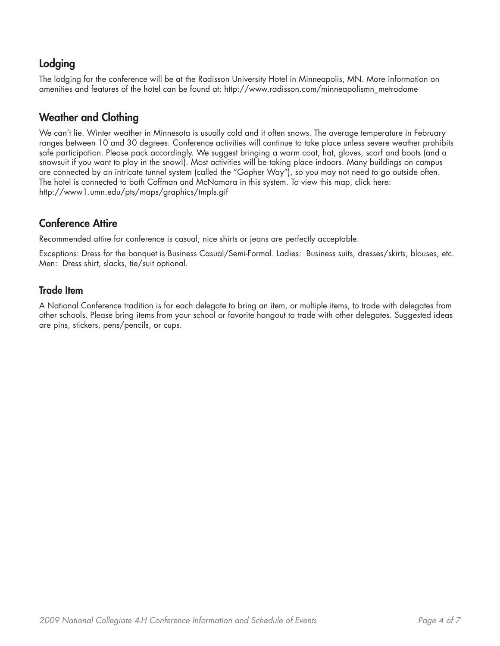## Lodging

The lodging for the conference will be at the Radisson University Hotel in Minneapolis, MN. More information on amenities and features of the hotel can be found at: http://www.radisson.com/minneapolismn\_metrodome

## Weather and Clothing

We can't lie. Winter weather in Minnesota is usually cold and it often snows. The average temperature in February ranges between 10 and 30 degrees. Conference activities will continue to take place unless severe weather prohibits safe participation. Please pack accordingly. We suggest bringing a warm coat, hat, gloves, scarf and boots (and a snowsuit if you want to play in the snow!). Most activities will be taking place indoors. Many buildings on campus are connected by an intricate tunnel system (called the "Gopher Way"), so you may not need to go outside often. The hotel is connected to both Coffman and McNamara in this system. To view this map, click here: <http://www1.umn.edu/pts/maps/graphics/tmpls.gif>

## Conference Attire

Recommended attire for conference is casual; nice shirts or jeans are perfectly acceptable.

Exceptions: Dress for the banquet is Business Casual/Semi-Formal. Ladies: Business suits, dresses/skirts, blouses, etc. Men: Dress shirt, slacks, tie/suit optional.

## Trade Item

A National Conference tradition is for each delegate to bring an item, or multiple items, to trade with delegates from other schools. Please bring items from your school or favorite hangout to trade with other delegates. Suggested ideas are pins, stickers, pens/pencils, or cups.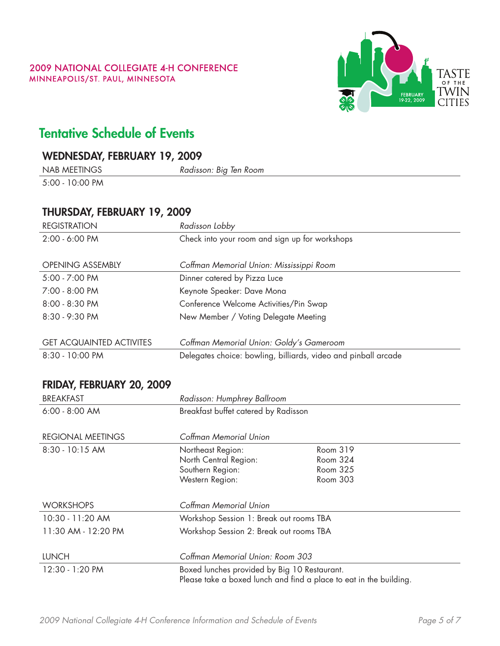

# Tentative Schedule of Events

## WEDNEsday, February 19, 2009

| <b>NAB MEETINGS</b> |  |
|---------------------|--|
|                     |  |

5:00 - 10:00 PM

| THURSDAY, FEBRUARY 19, 2009     |                                                                |  |
|---------------------------------|----------------------------------------------------------------|--|
| <b>REGISTRATION</b>             | Radisson Lobby                                                 |  |
| 2:00 - 6:00 PM                  | Check into your room and sign up for workshops                 |  |
| <b>OPENING ASSEMBLY</b>         | Coffman Memorial Union: Mississippi Room                       |  |
| 5:00 - 7:00 PM                  | Dinner catered by Pizza Luce                                   |  |
| $7:00 - 8:00 \text{ PM}$        | Keynote Speaker: Dave Mona                                     |  |
| $8:00 - 8:30$ PM                | Conference Welcome Activities/Pin Swap                         |  |
| 8:30 - 9:30 PM                  | New Member / Voting Delegate Meeting                           |  |
|                                 |                                                                |  |
| <b>GET ACQUAINTED ACTIVITES</b> | Coffman Memorial Union: Goldy's Gameroom                       |  |
| 8:30 - 10:00 PM                 | Delegates choice: bowling, billiards, video and pinball arcade |  |

NAB meetings *Radisson: Big Ten Room*

## Friday, February 20, 2009

| <b>BREAKFAST</b>    | Radisson: Humphrey Ballroom                                                                                        |                                              |
|---------------------|--------------------------------------------------------------------------------------------------------------------|----------------------------------------------|
| $6:00 - 8:00$ AM    | Breakfast buffet catered by Radisson                                                                               |                                              |
| REGIONAL MEETINGS   | Coffman Memorial Union                                                                                             |                                              |
| 8:30 - 10:15 AM     | Northeast Region:<br>North Central Region:<br>Southern Region:<br>Western Region:                                  | Room 319<br>Room 324<br>Room 325<br>Room 303 |
| <b>WORKSHOPS</b>    | Coffman Memorial Union                                                                                             |                                              |
| 10:30 - 11:20 AM    | Workshop Session 1: Break out rooms TBA                                                                            |                                              |
| 11:30 AM - 12:20 PM | Workshop Session 2: Break out rooms TBA                                                                            |                                              |
| <b>LUNCH</b>        | Coffman Memorial Union: Room 303                                                                                   |                                              |
| 12:30 - 1:20 PM     | Boxed lunches provided by Big 10 Restaurant.<br>Please take a boxed lunch and find a place to eat in the building. |                                              |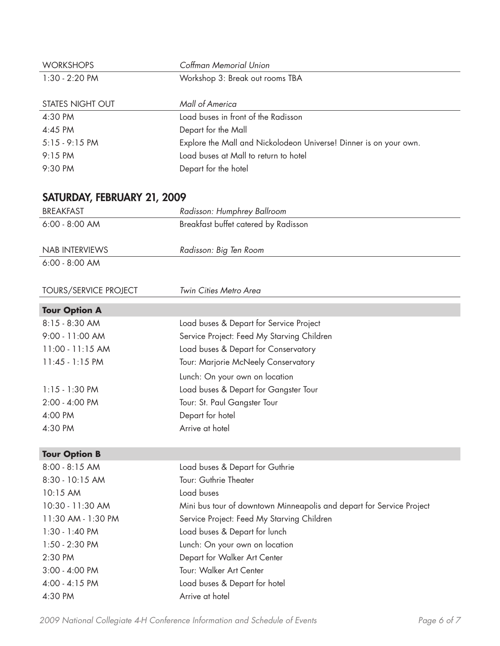| <b>WORKSHOPS</b>             | Coffman Memorial Union                                               |
|------------------------------|----------------------------------------------------------------------|
| 1:30 - 2:20 PM               | Workshop 3: Break out rooms TBA                                      |
|                              |                                                                      |
| <b>STATES NIGHT OUT</b>      | Mall of America                                                      |
| 4:30 PM                      | Load buses in front of the Radisson                                  |
| 4:45 PM                      | Depart for the Mall                                                  |
| $5:15 - 9:15$ PM             | Explore the Mall and Nickolodeon Universe! Dinner is on your own.    |
| 9:15 PM                      | Load buses at Mall to return to hotel                                |
| 9:30 PM                      | Depart for the hotel                                                 |
|                              |                                                                      |
| SATURDAY, FEBRUARY 21, 2009  |                                                                      |
| <b>BREAKFAST</b>             | Radisson: Humphrey Ballroom                                          |
| $6:00 - 8:00$ AM             | Breakfast buffet catered by Radisson                                 |
|                              |                                                                      |
| <b>NAB INTERVIEWS</b>        | Radisson: Big Ten Room                                               |
| $6:00 - 8:00$ AM             |                                                                      |
|                              |                                                                      |
| <b>TOURS/SERVICE PROJECT</b> | Twin Cities Metro Area                                               |
|                              |                                                                      |
| <b>Tour Option A</b>         |                                                                      |
| 8:15 - 8:30 AM               | Load buses & Depart for Service Project                              |
| 9:00 - 11:00 AM              | Service Project: Feed My Starving Children                           |
| 11:00 - 11:15 AM             | Load buses & Depart for Conservatory                                 |
| $11:45 - 1:15$ PM            | Tour: Marjorie McNeely Conservatory                                  |
|                              | Lunch: On your own on location                                       |
| $1:15 - 1:30$ PM             | Load buses & Depart for Gangster Tour                                |
| 2:00 - 4:00 PM               | Tour: St. Paul Gangster Tour                                         |
| 4:00 PM                      | Depart for hotel                                                     |
| 4:30 PM                      | Arrive at hotel                                                      |
|                              |                                                                      |
| <b>Tour Option B</b>         |                                                                      |
| 8:00 - 8:15 AM               | Load buses & Depart for Guthrie                                      |
| 8:30 - 10:15 AM              | Tour: Guthrie Theater                                                |
| 10:15 AM                     | Load buses                                                           |
| 10:30 - 11:30 AM             | Mini bus tour of downtown Minneapolis and depart for Service Project |
| 11:30 AM - 1:30 PM           | Service Project: Feed My Starving Children                           |
| 1:30 - 1:40 PM               | Load buses & Depart for lunch                                        |
| 1:50 - 2:30 PM               | Lunch: On your own on location                                       |
| 2:30 PM                      | Depart for Walker Art Center                                         |
| 3:00 - 4:00 PM               | Tour: Walker Art Center                                              |
| 4:00 - 4:15 PM               | Load buses & Depart for hotel                                        |
| 4:30 PM                      | Arrive at hotel                                                      |
|                              |                                                                      |